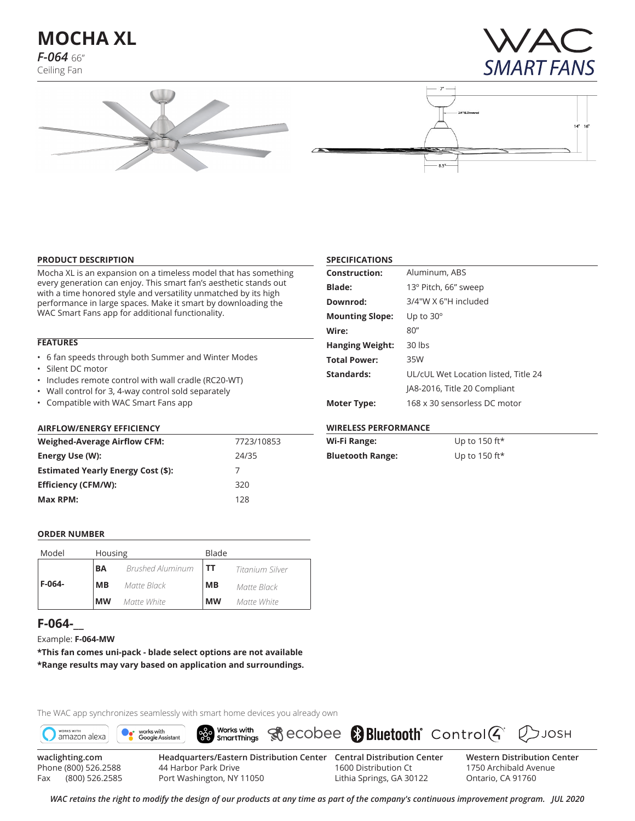**MOCHA XL** *F-064* 66"

Ceiling Fan







## **PRODUCT DESCRIPTION**

Mocha XL is an expansion on a timeless model that has something every generation can enjoy. This smart fan's aesthetic stands out with a time honored style and versatility unmatched by its high performance in large spaces. Make it smart by downloading the WAC Smart Fans app for additional functionality.

## **FEATURES**

- 6 fan speeds through both Summer and Winter Modes
- Silent DC motor
- Includes remote control with wall cradle (RC20-WT)
- Wall control for 3, 4-way control sold separately
- Compatible with WAC Smart Fans app

## **AIRFLOW/ENERGY EFFICIENCY**

| <b>Weighed-Average Airflow CFM:</b>       | 7723/10853 |  |  |  |  |
|-------------------------------------------|------------|--|--|--|--|
| Energy Use (W):                           | 24/35      |  |  |  |  |
| <b>Estimated Yearly Energy Cost (\$):</b> |            |  |  |  |  |
| <b>Efficiency (CFM/W):</b>                | 320        |  |  |  |  |
| Max RPM:                                  | 128        |  |  |  |  |

## **SPECIFICATIONS**

| <b>Construction:</b>   | Aluminum, ABS                        |
|------------------------|--------------------------------------|
| <b>Blade:</b>          | 13° Pitch, 66" sweep                 |
| Downrod:               | 3/4"W X 6"H included                 |
| <b>Mounting Slope:</b> | Up to $30^\circ$                     |
| Wire:                  | 80''                                 |
| <b>Hanging Weight:</b> | $30$ lbs                             |
| <b>Total Power:</b>    | 35W                                  |
| Standards:             | UL/cUL Wet Location listed, Title 24 |
|                        | JA8-2016, Title 20 Compliant         |
| <b>Moter Type:</b>     | 168 x 30 sensorless DC motor         |

## **WIRELESS PERFORMANCE**

| Wi-Fi Range:            | Up to 150 ft*    |
|-------------------------|------------------|
| <b>Bluetooth Range:</b> | Up to 150 ft $*$ |

#### **ORDER NUMBER**

| Model    | Housing   |                         | Blade     |                 |  |  |
|----------|-----------|-------------------------|-----------|-----------------|--|--|
|          | <b>BA</b> | <b>Brushed Aluminum</b> | l TT      | Titanium Silver |  |  |
| $F-064-$ | MВ        | Matte Black             | MВ        | Matte Black     |  |  |
|          | <b>MW</b> | Matte White             | <b>MW</b> | Matte White     |  |  |

# **F-064-\_\_**

Example: **F-064-MW**

**\*This fan comes uni-pack - blade select options are not available \*Range results may vary based on application and surroundings.**

The WAC app synchronizes seamlessly with smart home devices you already own



Phone (800) 526.2588 Fax (800) 526.2585

44 Harbor Park Drive Port Washington, NY 11050

1600 Distribution Ct Lithia Springs, GA 30122 1750 Archibald Avenue Ontario, CA 91760

*WAC retains the right to modify the design of our products at any time as part of the company's continuous improvement program. Jul 2020*